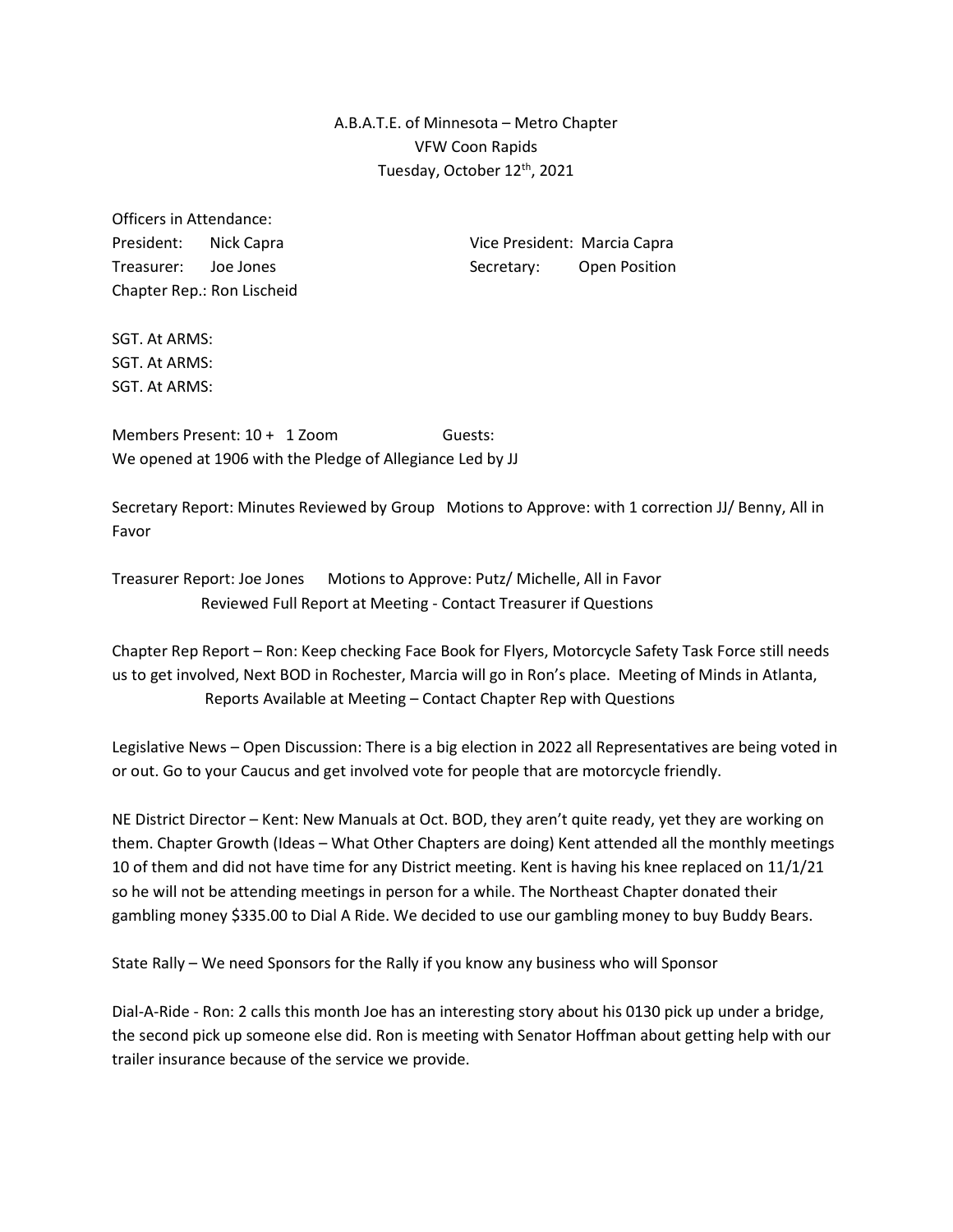A.B.A.T.E. of Minnesota – Metro Chapter VFW Coon Rapids Tuesday, October 12<sup>th</sup>, 2021

Officers in Attendance: Chapter Rep.: Ron Lischeid

President: Nick Capra Vice President: Marcia Capra Treasurer: Joe Jones Secretary: Open Position

SGT. At ARMS: SGT. At ARMS: SGT. At ARMS:

Members Present: 10 + 1 Zoom Guests: We opened at 1906 with the Pledge of Allegiance Led by JJ

Secretary Report: Minutes Reviewed by Group Motions to Approve: with 1 correction JJ/ Benny, All in Favor

Treasurer Report: Joe Jones Motions to Approve: Putz/ Michelle, All in Favor Reviewed Full Report at Meeting - Contact Treasurer if Questions

Chapter Rep Report – Ron: Keep checking Face Book for Flyers, Motorcycle Safety Task Force still needs us to get involved, Next BOD in Rochester, Marcia will go in Ron's place. Meeting of Minds in Atlanta, Reports Available at Meeting – Contact Chapter Rep with Questions

Legislative News – Open Discussion: There is a big election in 2022 all Representatives are being voted in or out. Go to your Caucus and get involved vote for people that are motorcycle friendly.

NE District Director – Kent: New Manuals at Oct. BOD, they aren't quite ready, yet they are working on them. Chapter Growth (Ideas – What Other Chapters are doing) Kent attended all the monthly meetings 10 of them and did not have time for any District meeting. Kent is having his knee replaced on 11/1/21 so he will not be attending meetings in person for a while. The Northeast Chapter donated their gambling money \$335.00 to Dial A Ride. We decided to use our gambling money to buy Buddy Bears.

State Rally – We need Sponsors for the Rally if you know any business who will Sponsor

Dial-A-Ride - Ron: 2 calls this month Joe has an interesting story about his 0130 pick up under a bridge, the second pick up someone else did. Ron is meeting with Senator Hoffman about getting help with our trailer insurance because of the service we provide.